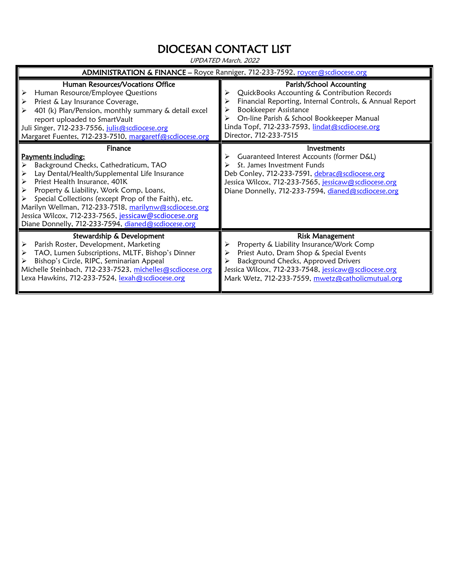## DIOCESAN CONTACT LIST

UPDATED March, 2022

| ADMINISTRATION & FINANCE - Royce Ranniger, 712-233-7592, roycer@scdiocese.org                                                                                                                                                                                                                                                                                                                                                              |                                                                                                                                                                                                                                                                                              |  |
|--------------------------------------------------------------------------------------------------------------------------------------------------------------------------------------------------------------------------------------------------------------------------------------------------------------------------------------------------------------------------------------------------------------------------------------------|----------------------------------------------------------------------------------------------------------------------------------------------------------------------------------------------------------------------------------------------------------------------------------------------|--|
| Human Resources/Vocations Office<br>Human Resource/Employee Questions<br>⋗<br>Priest & Lay Insurance Coverage,<br>⋗<br>401 (k) Plan/Pension, monthly summary & detail excel<br>report uploaded to SmartVault<br>Juli Singer, 712-233-7556, julis@scdiocese.org<br>Margaret Fuentes, 712-233-7510, margaretf@scdiocese.org                                                                                                                  | Parish/School Accounting<br>QuickBooks Accounting & Contribution Records<br>Financial Reporting, Internal Controls, & Annual Report<br><b>Bookkeeper Assistance</b><br>On-line Parish & School Bookkeeper Manual<br>Linda Topf, 712-233-7593, lindat@scdiocese.org<br>Director, 712-233-7515 |  |
| Finance<br><b>Payments including:</b><br>Background Checks, Cathedraticum, TAO<br>Lay Dental/Health/Supplemental Life Insurance<br>Priest Health Insurance, 401K<br>Property & Liability, Work Comp, Loans,<br>Special Collections (except Prop of the Faith), etc.<br>Marilyn Wellman, 712-233-7518, marilynw@scdiocese.org<br>Jessica Wilcox, 712-233-7565, jessicaw@scdiocese.org<br>Diane Donnelly, 712-233-7594, dianed@scdiocese.org | Investments<br>Guaranteed Interest Accounts (former D&L)<br>St. James Investment Funds<br>Deb Conley, 712-233-7591, debrac@scdiocese.org<br>Jessica Wilcox, 712-233-7565, jessicaw@scdiocese.org<br>Diane Donnelly, 712-233-7594, dianed@scdiocese.org                                       |  |
| Stewardship & Development<br>Parish Roster, Development, Marketing<br>TAO, Lumen Subscriptions, MLTF, Bishop's Dinner<br>Bishop's Circle, RIPC, Seminarian Appeal<br>Michelle Steinbach, 712-233-7523, michelles@scdiocese.org<br>Lexa Hawkins, 712-233-7524, lexah@scdiocese.org                                                                                                                                                          | <b>Risk Management</b><br>Property & Liability Insurance/Work Comp<br>Priest Auto, Dram Shop & Special Events<br>Background Checks, Approved Drivers<br>Jessica Wilcox, 712-233-7548, jessicaw@scdiocese.org<br>Mark Wetz, 712-233-7559, mwetz@catholicmutual.org                            |  |